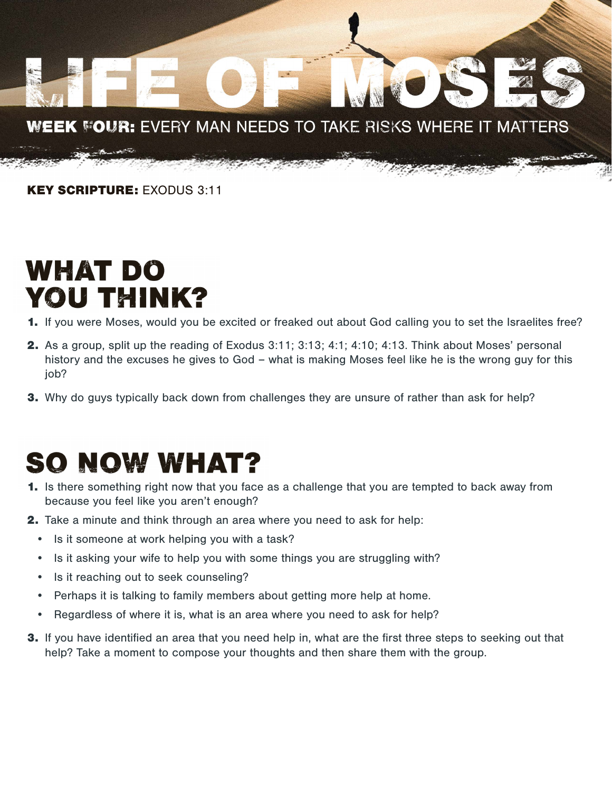

KEY SCRIPTURE: EXODUS 3:11

## WHAT DO YOU THINK?

- 1. If you were Moses, would you be excited or freaked out about God calling you to set the Israelites free?
- 2. As a group, split up the reading of Exodus 3:11; 3:13; 4:1; 4:10; 4:13. Think about Moses' personal history and the excuses he gives to God – what is making Moses feel like he is the wrong guy for this job?
- **3.** Why do guys typically back down from challenges they are unsure of rather than ask for help?

## **SO NOW WHAT?**

- 1. Is there something right now that you face as a challenge that you are tempted to back away from because you feel like you aren't enough?
- **2.** Take a minute and think through an area where you need to ask for help:
	- Is it someone at work helping you with a task?
	- Is it asking your wife to help you with some things you are struggling with?
	- Is it reaching out to seek counseling?
	- Perhaps it is talking to family members about getting more help at home.
	- Regardless of where it is, what is an area where you need to ask for help?
- 3. If you have identified an area that you need help in, what are the first three steps to seeking out that help? Take a moment to compose your thoughts and then share them with the group.